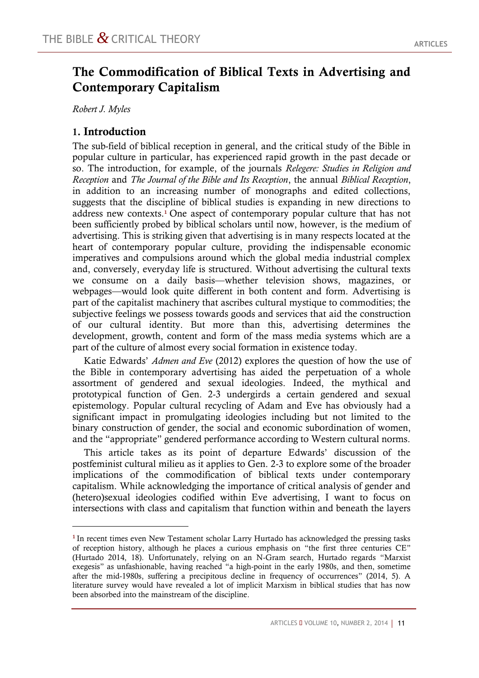# **The Commodification of Biblical Texts in Advertising and Contemporary Capitalism**

*Robert J. Myles*

 $\overline{a}$ 

### **1. Introduction**

The sub-field of biblical reception in general, and the critical study of the Bible in popular culture in particular, has experienced rapid growth in the past decade or so. The introduction, for example, of the journals *Relegere: Studies in Religion and Reception* and *The Journal of the Bible and Its Reception*, the annual *Biblical Reception*, in addition to an increasing number of monographs and edited collections, suggests that the discipline of biblical studies is expanding in new directions to address new contexts.<sup>1</sup> One aspect of contemporary popular culture that has not been sufficiently probed by biblical scholars until now, however, is the medium of advertising. This is striking given that advertising is in many respects located at the heart of contemporary popular culture, providing the indispensable economic imperatives and compulsions around which the global media industrial complex and, conversely, everyday life is structured. Without advertising the cultural texts we consume on a daily basis—whether television shows, magazines, or webpages—would look quite different in both content and form. Advertising is part of the capitalist machinery that ascribes cultural mystique to commodities; the subjective feelings we possess towards goods and services that aid the construction of our cultural identity. But more than this, advertising determines the development, growth, content and form of the mass media systems which are a part of the culture of almost every social formation in existence today.

Katie Edwards' *Admen and Eve* (2012) explores the question of how the use of the Bible in contemporary advertising has aided the perpetuation of a whole assortment of gendered and sexual ideologies. Indeed, the mythical and prototypical function of Gen. 2-3 undergirds a certain gendered and sexual epistemology. Popular cultural recycling of Adam and Eve has obviously had a significant impact in promulgating ideologies including but not limited to the binary construction of gender, the social and economic subordination of women, and the "appropriate" gendered performance according to Western cultural norms.

This article takes as its point of departure Edwards' discussion of the postfeminist cultural milieu as it applies to Gen. 2-3 to explore some of the broader implications of the commodification of biblical texts under contemporary capitalism. While acknowledging the importance of critical analysis of gender and (hetero)sexual ideologies codified within Eve advertising, I want to focus on intersections with class and capitalism that function within and beneath the layers

<sup>&</sup>lt;sup>1</sup> In recent times even New Testament scholar Larry Hurtado has acknowledged the pressing tasks of reception history, although he places a curious emphasis on "the first three centuries CE" (Hurtado 2014, 18). Unfortunately, relying on an N-Gram search, Hurtado regards "Marxist exegesis" as unfashionable, having reached "a high-point in the early 1980s, and then, sometime after the mid-1980s, suffering a precipitous decline in frequency of occurrences" (2014, 5). A literature survey would have revealed a lot of implicit Marxism in biblical studies that has now been absorbed into the mainstream of the discipline.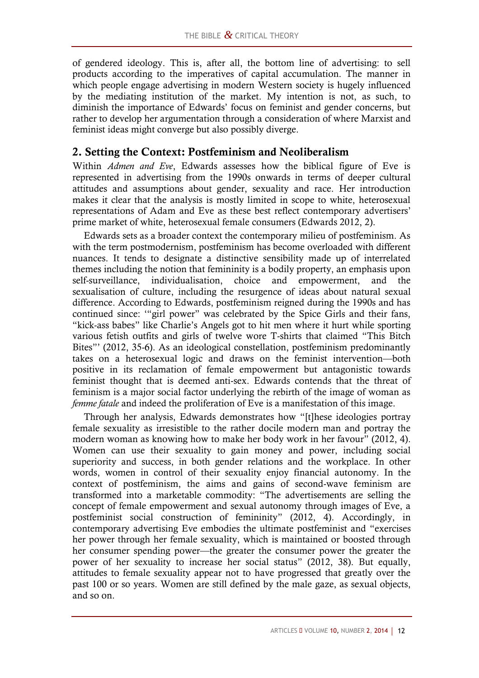of gendered ideology. This is, after all, the bottom line of advertising: to sell products according to the imperatives of capital accumulation. The manner in which people engage advertising in modern Western society is hugely influenced by the mediating institution of the market. My intention is not, as such, to diminish the importance of Edwards' focus on feminist and gender concerns, but rather to develop her argumentation through a consideration of where Marxist and feminist ideas might converge but also possibly diverge.

### **2. Setting the Context: Postfeminism and Neoliberalism**

Within *Admen and Eve*, Edwards assesses how the biblical figure of Eve is represented in advertising from the 1990s onwards in terms of deeper cultural attitudes and assumptions about gender, sexuality and race. Her introduction makes it clear that the analysis is mostly limited in scope to white, heterosexual representations of Adam and Eve as these best reflect contemporary advertisers' prime market of white, heterosexual female consumers (Edwards 2012, 2).

Edwards sets as a broader context the contemporary milieu of postfeminism. As with the term postmodernism, postfeminism has become overloaded with different nuances. It tends to designate a distinctive sensibility made up of interrelated themes including the notion that femininity is a bodily property, an emphasis upon self-surveillance, individualisation, choice and empowerment, and the sexualisation of culture, including the resurgence of ideas about natural sexual difference. According to Edwards, postfeminism reigned during the 1990s and has continued since: '"girl power" was celebrated by the Spice Girls and their fans, "kick-ass babes" like Charlie's Angels got to hit men where it hurt while sporting various fetish outfits and girls of twelve wore T-shirts that claimed "This Bitch Bites"' (2012, 35-6). As an ideological constellation, postfeminism predominantly takes on a heterosexual logic and draws on the feminist intervention—both positive in its reclamation of female empowerment but antagonistic towards feminist thought that is deemed anti-sex. Edwards contends that the threat of feminism is a major social factor underlying the rebirth of the image of woman as *femme fatale* and indeed the proliferation of Eve is a manifestation of this image.

Through her analysis, Edwards demonstrates how "[t]hese ideologies portray female sexuality as irresistible to the rather docile modern man and portray the modern woman as knowing how to make her body work in her favour" (2012, 4). Women can use their sexuality to gain money and power, including social superiority and success, in both gender relations and the workplace. In other words, women in control of their sexuality enjoy financial autonomy. In the context of postfeminism, the aims and gains of second-wave feminism are transformed into a marketable commodity: "The advertisements are selling the concept of female empowerment and sexual autonomy through images of Eve, a postfeminist social construction of femininity" (2012, 4). Accordingly, in contemporary advertising Eve embodies the ultimate postfeminist and "exercises her power through her female sexuality, which is maintained or boosted through her consumer spending power—the greater the consumer power the greater the power of her sexuality to increase her social status" (2012, 38). But equally, attitudes to female sexuality appear not to have progressed that greatly over the past 100 or so years. Women are still defined by the male gaze, as sexual objects, and so on.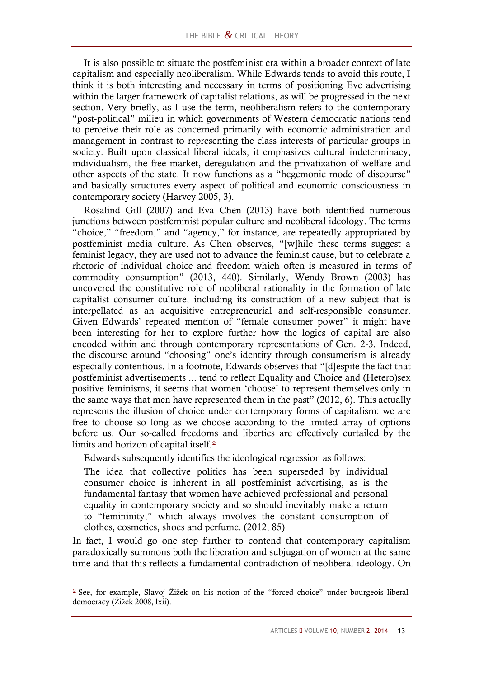It is also possible to situate the postfeminist era within a broader context of late capitalism and especially neoliberalism. While Edwards tends to avoid this route, I think it is both interesting and necessary in terms of positioning Eve advertising within the larger framework of capitalist relations, as will be progressed in the next section. Very briefly, as I use the term, neoliberalism refers to the contemporary "post-political" milieu in which governments of Western democratic nations tend to perceive their role as concerned primarily with economic administration and management in contrast to representing the class interests of particular groups in society. Built upon classical liberal ideals, it emphasizes cultural indeterminacy, individualism, the free market, deregulation and the privatization of welfare and other aspects of the state. It now functions as a "hegemonic mode of discourse" and basically structures every aspect of political and economic consciousness in contemporary society (Harvey 2005, 3).

Rosalind Gill (2007) and Eva Chen (2013) have both identified numerous junctions between postfeminist popular culture and neoliberal ideology. The terms "choice," "freedom," and "agency," for instance, are repeatedly appropriated by postfeminist media culture. As Chen observes, "[w]hile these terms suggest a feminist legacy, they are used not to advance the feminist cause, but to celebrate a rhetoric of individual choice and freedom which often is measured in terms of commodity consumption" (2013, 440). Similarly, Wendy Brown (2003) has uncovered the constitutive role of neoliberal rationality in the formation of late capitalist consumer culture, including its construction of a new subject that is interpellated as an acquisitive entrepreneurial and self-responsible consumer. Given Edwards' repeated mention of "female consumer power" it might have been interesting for her to explore further how the logics of capital are also encoded within and through contemporary representations of Gen. 2-3. Indeed, the discourse around "choosing" one's identity through consumerism is already especially contentious. In a footnote, Edwards observes that "[d]espite the fact that postfeminist advertisements ... tend to reflect Equality and Choice and (Hetero)sex positive feminisms, it seems that women 'choose' to represent themselves only in the same ways that men have represented them in the past" (2012, 6). This actually represents the illusion of choice under contemporary forms of capitalism: we are free to choose so long as we choose according to the limited array of options before us. Our so-called freedoms and liberties are effectively curtailed by the limits and horizon of capital itself.<sup>2</sup>

Edwards subsequently identifies the ideological regression as follows:

The idea that collective politics has been superseded by individual consumer choice is inherent in all postfeminist advertising, as is the fundamental fantasy that women have achieved professional and personal equality in contemporary society and so should inevitably make a return to "femininity," which always involves the constant consumption of clothes, cosmetics, shoes and perfume. (2012, 85)

In fact, I would go one step further to contend that contemporary capitalism paradoxically summons both the liberation and subjugation of women at the same time and that this reflects a fundamental contradiction of neoliberal ideology. On

<sup>2</sup> See, for example, Slavoj Žižek on his notion of the "forced choice" under bourgeois liberaldemocracy (Žižek 2008, lxii).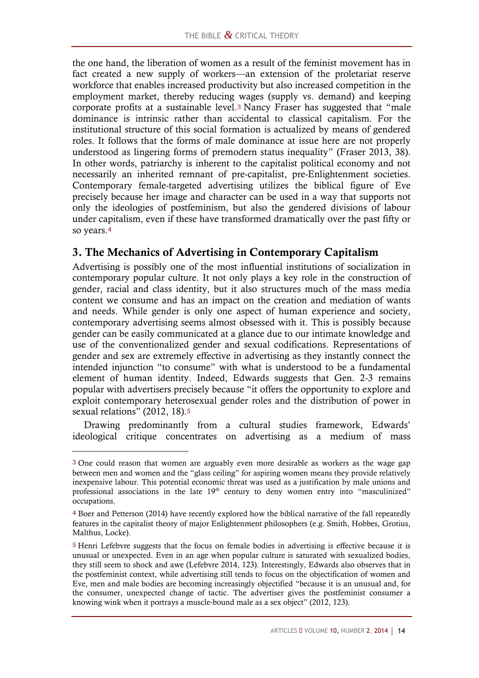the one hand, the liberation of women as a result of the feminist movement has in fact created a new supply of workers—an extension of the proletariat reserve workforce that enables increased productivity but also increased competition in the employment market, thereby reducing wages (supply vs. demand) and keeping corporate profits at a sustainable level.<sup>3</sup> Nancy Fraser has suggested that "male dominance is intrinsic rather than accidental to classical capitalism. For the institutional structure of this social formation is actualized by means of gendered roles. It follows that the forms of male dominance at issue here are not properly understood as lingering forms of premodern status inequality" (Fraser 2013, 38). In other words, patriarchy is inherent to the capitalist political economy and not necessarily an inherited remnant of pre-capitalist, pre-Enlightenment societies. Contemporary female-targeted advertising utilizes the biblical figure of Eve precisely because her image and character can be used in a way that supports not only the ideologies of postfeminism, but also the gendered divisions of labour under capitalism, even if these have transformed dramatically over the past fifty or so years.<sup>4</sup>

## **3. The Mechanics of Advertising in Contemporary Capitalism**

Advertising is possibly one of the most influential institutions of socialization in contemporary popular culture. It not only plays a key role in the construction of gender, racial and class identity, but it also structures much of the mass media content we consume and has an impact on the creation and mediation of wants and needs. While gender is only one aspect of human experience and society, contemporary advertising seems almost obsessed with it. This is possibly because gender can be easily communicated at a glance due to our intimate knowledge and use of the conventionalized gender and sexual codifications. Representations of gender and sex are extremely effective in advertising as they instantly connect the intended injunction "to consume" with what is understood to be a fundamental element of human identity. Indeed, Edwards suggests that Gen. 2-3 remains popular with advertisers precisely because "it offers the opportunity to explore and exploit contemporary heterosexual gender roles and the distribution of power in sexual relations" (2012, 18).<sup>5</sup>

Drawing predominantly from a cultural studies framework, Edwards' ideological critique concentrates on advertising as a medium of mass

<sup>3</sup> One could reason that women are arguably even more desirable as workers as the wage gap between men and women and the "glass ceiling" for aspiring women means they provide relatively inexpensive labour. This potential economic threat was used as a justification by male unions and professional associations in the late 19<sup>th</sup> century to deny women entry into "masculinized" occupations.

<sup>4</sup> Boer and Petterson (2014) have recently explored how the biblical narrative of the fall repeatedly features in the capitalist theory of major Enlightenment philosophers (e.g. Smith, Hobbes, Grotius, Malthus, Locke).

<sup>5</sup> Henri Lefebvre suggests that the focus on female bodies in advertising is effective because it is unusual or unexpected. Even in an age when popular culture is saturated with sexualized bodies, they still seem to shock and awe (Lefebvre 2014, 123)*.* Interestingly, Edwards also observes that in the postfeminist context, while advertising still tends to focus on the objectification of women and Eve, men and male bodies are becoming increasingly objectified "because it is an unusual and, for the consumer, unexpected change of tactic. The advertiser gives the postfeminist consumer a knowing wink when it portrays a muscle-bound male as a sex object" (2012, 123).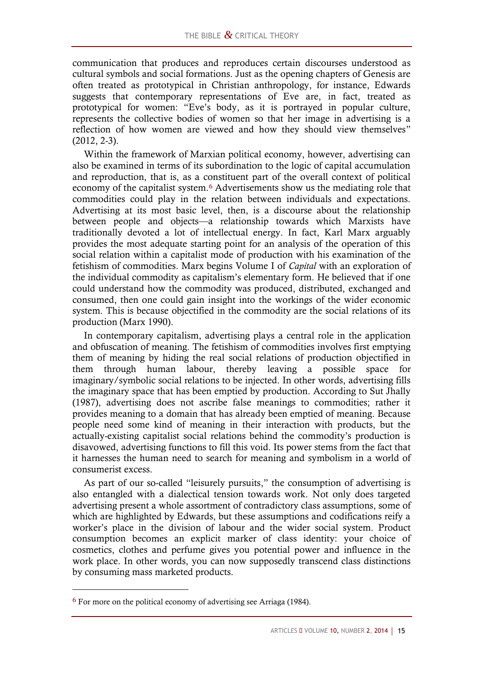communication that produces and reproduces certain discourses understood as cultural symbols and social formations. Just as the opening chapters of Genesis are often treated as prototypical in Christian anthropology, for instance, Edwards suggests that contemporary representations of Eve are, in fact, treated as prototypical for women: "Eve's body, as it is portrayed in popular culture, represents the collective bodies of women so that her image in advertising is a reflection of how women are viewed and how they should view themselves" (2012, 2-3).

Within the framework of Marxian political economy, however, advertising can also be examined in terms of its subordination to the logic of capital accumulation and reproduction, that is, as a constituent part of the overall context of political economy of the capitalist system.<sup>6</sup> Advertisements show us the mediating role that commodities could play in the relation between individuals and expectations. Advertising at its most basic level, then, is a discourse about the relationship between people and objects—a relationship towards which Marxists have traditionally devoted a lot of intellectual energy. In fact, Karl Marx arguably provides the most adequate starting point for an analysis of the operation of this social relation within a capitalist mode of production with his examination of the fetishism of commodities. Marx begins Volume I of *Capital* with an exploration of the individual commodity as capitalism's elementary form. He believed that if one could understand how the commodity was produced, distributed, exchanged and consumed, then one could gain insight into the workings of the wider economic system. This is because objectified in the commodity are the social relations of its production (Marx 1990).

In contemporary capitalism, advertising plays a central role in the application and obfuscation of meaning. The fetishism of commodities involves first emptying them of meaning by hiding the real social relations of production objectified in them through human labour, thereby leaving a possible space for imaginary/symbolic social relations to be injected. In other words, advertising fills the imaginary space that has been emptied by production. According to Sut Jhally (1987), advertising does not ascribe false meanings to commodities; rather it provides meaning to a domain that has already been emptied of meaning. Because people need some kind of meaning in their interaction with products, but the actually-existing capitalist social relations behind the commodity's production is disavowed, advertising functions to fill this void. Its power stems from the fact that it harnesses the human need to search for meaning and symbolism in a world of consumerist excess.

As part of our so-called "leisurely pursuits," the consumption of advertising is also entangled with a dialectical tension towards work. Not only does targeted advertising present a whole assortment of contradictory class assumptions, some of which are highlighted by Edwards, but these assumptions and codifications reify a worker's place in the division of labour and the wider social system. Product consumption becomes an explicit marker of class identity: your choice of cosmetics, clothes and perfume gives you potential power and influence in the work place. In other words, you can now supposedly transcend class distinctions by consuming mass marketed products.

<sup>6</sup> For more on the political economy of advertising see Arriaga (1984).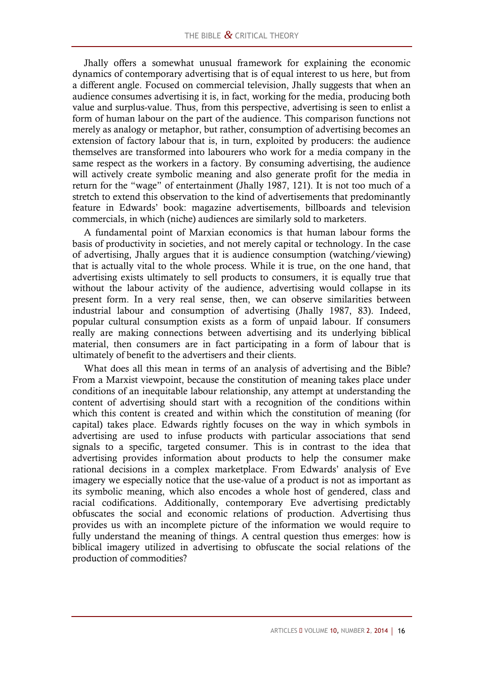Jhally offers a somewhat unusual framework for explaining the economic dynamics of contemporary advertising that is of equal interest to us here, but from a different angle. Focused on commercial television, Jhally suggests that when an audience consumes advertising it is, in fact, working for the media, producing both value and surplus-value. Thus, from this perspective, advertising is seen to enlist a form of human labour on the part of the audience. This comparison functions not merely as analogy or metaphor, but rather, consumption of advertising becomes an extension of factory labour that is, in turn, exploited by producers: the audience themselves are transformed into labourers who work for a media company in the same respect as the workers in a factory. By consuming advertising, the audience will actively create symbolic meaning and also generate profit for the media in return for the "wage" of entertainment (Jhally 1987, 121). It is not too much of a stretch to extend this observation to the kind of advertisements that predominantly feature in Edwards' book: magazine advertisements, billboards and television commercials, in which (niche) audiences are similarly sold to marketers.

A fundamental point of Marxian economics is that human labour forms the basis of productivity in societies, and not merely capital or technology. In the case of advertising, Jhally argues that it is audience consumption (watching/viewing) that is actually vital to the whole process. While it is true, on the one hand, that advertising exists ultimately to sell products to consumers, it is equally true that without the labour activity of the audience, advertising would collapse in its present form. In a very real sense, then, we can observe similarities between industrial labour and consumption of advertising (Jhally 1987, 83). Indeed, popular cultural consumption exists as a form of unpaid labour. If consumers really are making connections between advertising and its underlying biblical material, then consumers are in fact participating in a form of labour that is ultimately of benefit to the advertisers and their clients.

What does all this mean in terms of an analysis of advertising and the Bible? From a Marxist viewpoint, because the constitution of meaning takes place under conditions of an inequitable labour relationship, any attempt at understanding the content of advertising should start with a recognition of the conditions within which this content is created and within which the constitution of meaning (for capital) takes place. Edwards rightly focuses on the way in which symbols in advertising are used to infuse products with particular associations that send signals to a specific, targeted consumer. This is in contrast to the idea that advertising provides information about products to help the consumer make rational decisions in a complex marketplace. From Edwards' analysis of Eve imagery we especially notice that the use-value of a product is not as important as its symbolic meaning, which also encodes a whole host of gendered, class and racial codifications. Additionally, contemporary Eve advertising predictably obfuscates the social and economic relations of production. Advertising thus provides us with an incomplete picture of the information we would require to fully understand the meaning of things. A central question thus emerges: how is biblical imagery utilized in advertising to obfuscate the social relations of the production of commodities?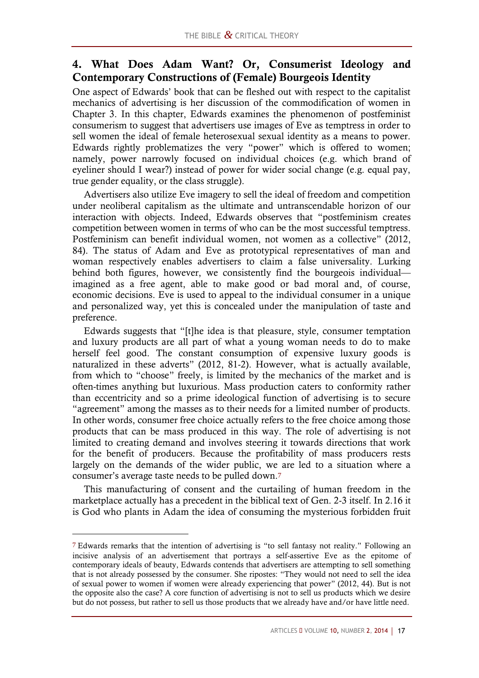### **4. What Does Adam Want? Or, Consumerist Ideology and Contemporary Constructions of (Female) Bourgeois Identity**

One aspect of Edwards' book that can be fleshed out with respect to the capitalist mechanics of advertising is her discussion of the commodification of women in Chapter 3. In this chapter, Edwards examines the phenomenon of postfeminist consumerism to suggest that advertisers use images of Eve as temptress in order to sell women the ideal of female heterosexual sexual identity as a means to power. Edwards rightly problematizes the very "power" which is offered to women; namely, power narrowly focused on individual choices (e.g. which brand of eyeliner should I wear?) instead of power for wider social change (e.g. equal pay, true gender equality, or the class struggle).

Advertisers also utilize Eve imagery to sell the ideal of freedom and competition under neoliberal capitalism as the ultimate and untranscendable horizon of our interaction with objects. Indeed, Edwards observes that "postfeminism creates competition between women in terms of who can be the most successful temptress. Postfeminism can benefit individual women, not women as a collective" (2012, 84). The status of Adam and Eve as prototypical representatives of man and woman respectively enables advertisers to claim a false universality. Lurking behind both figures, however, we consistently find the bourgeois individual imagined as a free agent, able to make good or bad moral and, of course, economic decisions. Eve is used to appeal to the individual consumer in a unique and personalized way, yet this is concealed under the manipulation of taste and preference.

Edwards suggests that "[t]he idea is that pleasure, style, consumer temptation and luxury products are all part of what a young woman needs to do to make herself feel good. The constant consumption of expensive luxury goods is naturalized in these adverts" (2012, 81-2). However, what is actually available, from which to "choose" freely, is limited by the mechanics of the market and is often-times anything but luxurious. Mass production caters to conformity rather than eccentricity and so a prime ideological function of advertising is to secure "agreement" among the masses as to their needs for a limited number of products. In other words, consumer free choice actually refers to the free choice among those products that can be mass produced in this way. The role of advertising is not limited to creating demand and involves steering it towards directions that work for the benefit of producers. Because the profitability of mass producers rests largely on the demands of the wider public, we are led to a situation where a consumer's average taste needs to be pulled down.<sup>7</sup>

This manufacturing of consent and the curtailing of human freedom in the marketplace actually has a precedent in the biblical text of Gen. 2-3 itself. In 2.16 it is God who plants in Adam the idea of consuming the mysterious forbidden fruit

<sup>7</sup> Edwards remarks that the intention of advertising is "to sell fantasy not reality." Following an incisive analysis of an advertisement that portrays a self-assertive Eve as the epitome of contemporary ideals of beauty, Edwards contends that advertisers are attempting to sell something that is not already possessed by the consumer. She ripostes: "They would not need to sell the idea of sexual power to women if women were already experiencing that power" (2012, 44). But is not the opposite also the case? A core function of advertising is not to sell us products which we desire but do not possess, but rather to sell us those products that we already have and/or have little need.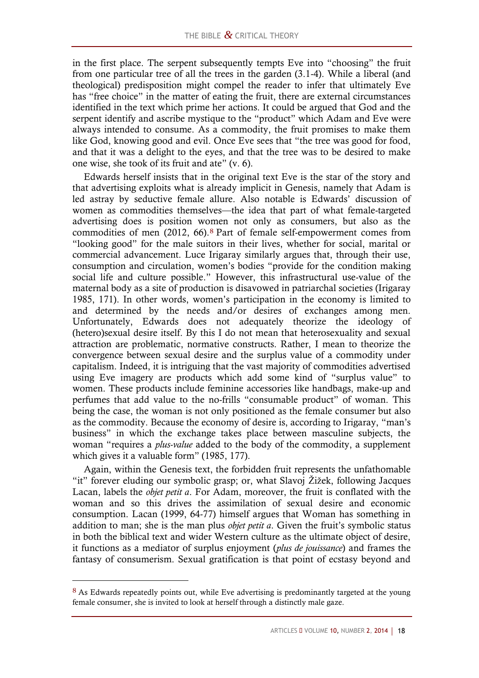in the first place. The serpent subsequently tempts Eve into "choosing" the fruit from one particular tree of all the trees in the garden (3.1-4). While a liberal (and theological) predisposition might compel the reader to infer that ultimately Eve has "free choice" in the matter of eating the fruit, there are external circumstances identified in the text which prime her actions. It could be argued that God and the serpent identify and ascribe mystique to the "product" which Adam and Eve were always intended to consume. As a commodity, the fruit promises to make them like God, knowing good and evil. Once Eve sees that "the tree was good for food, and that it was a delight to the eyes, and that the tree was to be desired to make one wise, she took of its fruit and ate" (v. 6).

Edwards herself insists that in the original text Eve is the star of the story and that advertising exploits what is already implicit in Genesis, namely that Adam is led astray by seductive female allure. Also notable is Edwards' discussion of women as commodities themselves—the idea that part of what female-targeted advertising does is position women not only as consumers, but also as the commodities of men (2012, 66).<sup>8</sup> Part of female self-empowerment comes from "looking good" for the male suitors in their lives, whether for social, marital or commercial advancement. Luce Irigaray similarly argues that, through their use, consumption and circulation, women's bodies "provide for the condition making social life and culture possible." However, this infrastructural use-value of the maternal body as a site of production is disavowed in patriarchal societies (Irigaray 1985, 171). In other words, women's participation in the economy is limited to and determined by the needs and/or desires of exchanges among men. Unfortunately, Edwards does not adequately theorize the ideology of (hetero)sexual desire itself. By this I do not mean that heterosexuality and sexual attraction are problematic, normative constructs. Rather, I mean to theorize the convergence between sexual desire and the surplus value of a commodity under capitalism. Indeed, it is intriguing that the vast majority of commodities advertised using Eve imagery are products which add some kind of "surplus value" to women. These products include feminine accessories like handbags, make-up and perfumes that add value to the no-frills "consumable product" of woman. This being the case, the woman is not only positioned as the female consumer but also as the commodity. Because the economy of desire is, according to Irigaray, "man's business" in which the exchange takes place between masculine subjects, the woman "requires a *plus-value* added to the body of the commodity, a supplement which gives it a valuable form" (1985, 177).

Again, within the Genesis text, the forbidden fruit represents the unfathomable "it" forever eluding our symbolic grasp; or, what Slavoj Žižek, following Jacques Lacan, labels the *objet petit a*. For Adam, moreover, the fruit is conflated with the woman and so this drives the assimilation of sexual desire and economic consumption. Lacan (1999, 64-77) himself argues that Woman has something in addition to man; she is the man plus *objet petit a*. Given the fruit's symbolic status in both the biblical text and wider Western culture as the ultimate object of desire, it functions as a mediator of surplus enjoyment (*plus de jouissance*) and frames the fantasy of consumerism. Sexual gratification is that point of ecstasy beyond and

<sup>&</sup>lt;sup>8</sup> As Edwards repeatedly points out, while Eve advertising is predominantly targeted at the young female consumer, she is invited to look at herself through a distinctly male gaze.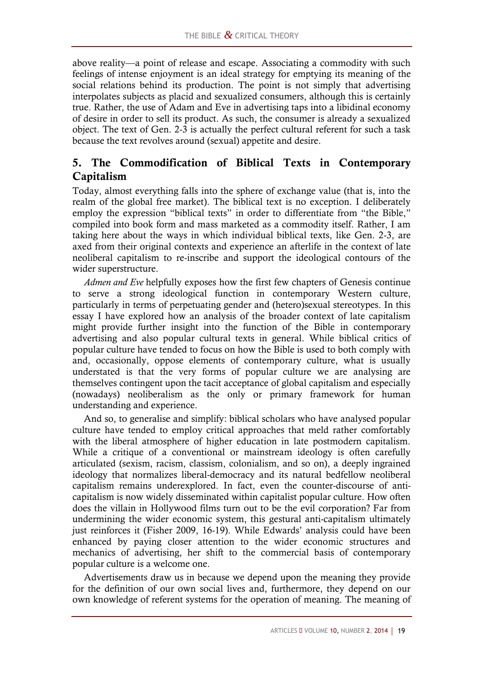above reality—a point of release and escape. Associating a commodity with such feelings of intense enjoyment is an ideal strategy for emptying its meaning of the social relations behind its production. The point is not simply that advertising interpolates subjects as placid and sexualized consumers, although this is certainly true. Rather, the use of Adam and Eve in advertising taps into a libidinal economy of desire in order to sell its product. As such, the consumer is already a sexualized object. The text of Gen. 2-3 is actually the perfect cultural referent for such a task because the text revolves around (sexual) appetite and desire.

## **5. The Commodification of Biblical Texts in Contemporary Capitalism**

Today, almost everything falls into the sphere of exchange value (that is, into the realm of the global free market). The biblical text is no exception. I deliberately employ the expression "biblical texts" in order to differentiate from "the Bible," compiled into book form and mass marketed as a commodity itself. Rather, I am taking here about the ways in which individual biblical texts, like Gen. 2-3, are axed from their original contexts and experience an afterlife in the context of late neoliberal capitalism to re-inscribe and support the ideological contours of the wider superstructure.

*Admen and Eve* helpfully exposes how the first few chapters of Genesis continue to serve a strong ideological function in contemporary Western culture, particularly in terms of perpetuating gender and (hetero)sexual stereotypes. In this essay I have explored how an analysis of the broader context of late capitalism might provide further insight into the function of the Bible in contemporary advertising and also popular cultural texts in general. While biblical critics of popular culture have tended to focus on how the Bible is used to both comply with and, occasionally, oppose elements of contemporary culture, what is usually understated is that the very forms of popular culture we are analysing are themselves contingent upon the tacit acceptance of global capitalism and especially (nowadays) neoliberalism as the only or primary framework for human understanding and experience.

And so, to generalise and simplify: biblical scholars who have analysed popular culture have tended to employ critical approaches that meld rather comfortably with the liberal atmosphere of higher education in late postmodern capitalism. While a critique of a conventional or mainstream ideology is often carefully articulated (sexism, racism, classism, colonialism, and so on), a deeply ingrained ideology that normalizes liberal-democracy and its natural bedfellow neoliberal capitalism remains underexplored. In fact, even the counter-discourse of anticapitalism is now widely disseminated within capitalist popular culture. How often does the villain in Hollywood films turn out to be the evil corporation? Far from undermining the wider economic system, this gestural anti-capitalism ultimately just reinforces it (Fisher 2009, 16-19). While Edwards' analysis could have been enhanced by paying closer attention to the wider economic structures and mechanics of advertising, her shift to the commercial basis of contemporary popular culture is a welcome one.

Advertisements draw us in because we depend upon the meaning they provide for the definition of our own social lives and, furthermore, they depend on our own knowledge of referent systems for the operation of meaning. The meaning of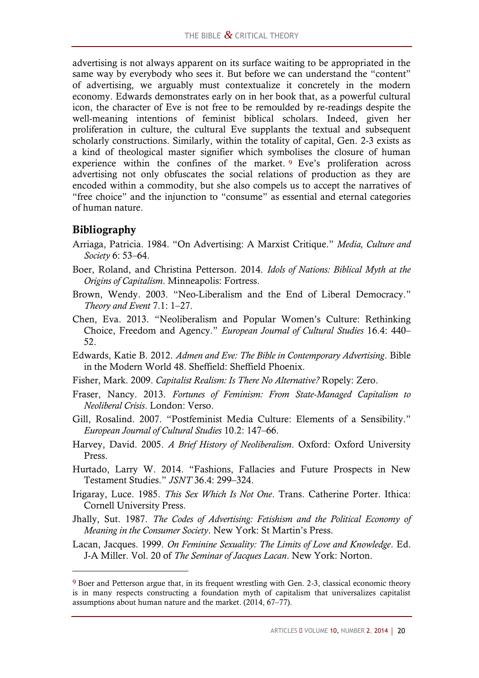advertising is not always apparent on its surface waiting to be appropriated in the same way by everybody who sees it. But before we can understand the "content" of advertising, we arguably must contextualize it concretely in the modern economy. Edwards demonstrates early on in her book that, as a powerful cultural icon, the character of Eve is not free to be remoulded by re-readings despite the well-meaning intentions of feminist biblical scholars. Indeed, given her proliferation in culture, the cultural Eve supplants the textual and subsequent scholarly constructions. Similarly, within the totality of capital, Gen. 2-3 exists as a kind of theological master signifier which symbolises the closure of human experience within the confines of the market. <sup>9</sup> Eve's proliferation across advertising not only obfuscates the social relations of production as they are encoded within a commodity, but she also compels us to accept the narratives of "free choice" and the injunction to "consume" as essential and eternal categories of human nature.

## **Bibliography**

- Arriaga, Patricia. 1984. "On Advertising: A Marxist Critique." *Media, Culture and Society* 6: 53–64.
- Boer, Roland, and Christina Petterson. 2014. *Idols of Nations: Biblical Myth at the Origins of Capitalism*. Minneapolis: Fortress.
- Brown, Wendy. 2003. "Neo-Liberalism and the End of Liberal Democracy." *Theory and Event* 7.1: 1–27.
- Chen, Eva. 2013. "Neoliberalism and Popular Women's Culture: Rethinking Choice, Freedom and Agency." *European Journal of Cultural Studies* 16.4: 440– 52.
- Edwards, Katie B. 2012. *Admen and Eve: The Bible in Contemporary Advertising*. Bible in the Modern World 48. Sheffield: Sheffield Phoenix.
- Fisher, Mark. 2009. *Capitalist Realism: Is There No Alternative?* Ropely: Zero.
- Fraser, Nancy. 2013. *Fortunes of Feminism: From State-Managed Capitalism to Neoliberal Crisis*. London: Verso.
- Gill, Rosalind. 2007. "Postfeminist Media Culture: Elements of a Sensibility." *European Journal of Cultural Studies* 10.2: 147–66.
- Harvey, David. 2005. *A Brief History of Neoliberalism*. Oxford: Oxford University Press.
- Hurtado, Larry W. 2014. "Fashions, Fallacies and Future Prospects in New Testament Studies." *JSNT* 36.4: 299–324.
- Irigaray, Luce. 1985. *This Sex Which Is Not One*. Trans. Catherine Porter. Ithica: Cornell University Press.
- Jhally, Sut. 1987. *The Codes of Advertising: Fetishism and the Political Economy of Meaning in the Consumer Society*. New York: St Martin's Press.
- Lacan, Jacques. 1999. *On Feminine Sexuality: The Limits of Love and Knowledge*. Ed. J-A Miller. Vol. 20 of *The Seminar of Jacques Lacan*. New York: Norton.

<sup>9</sup> Boer and Petterson argue that, in its frequent wrestling with Gen. 2-3, classical economic theory is in many respects constructing a foundation myth of capitalism that universalizes capitalist assumptions about human nature and the market. (2014, 67–77).